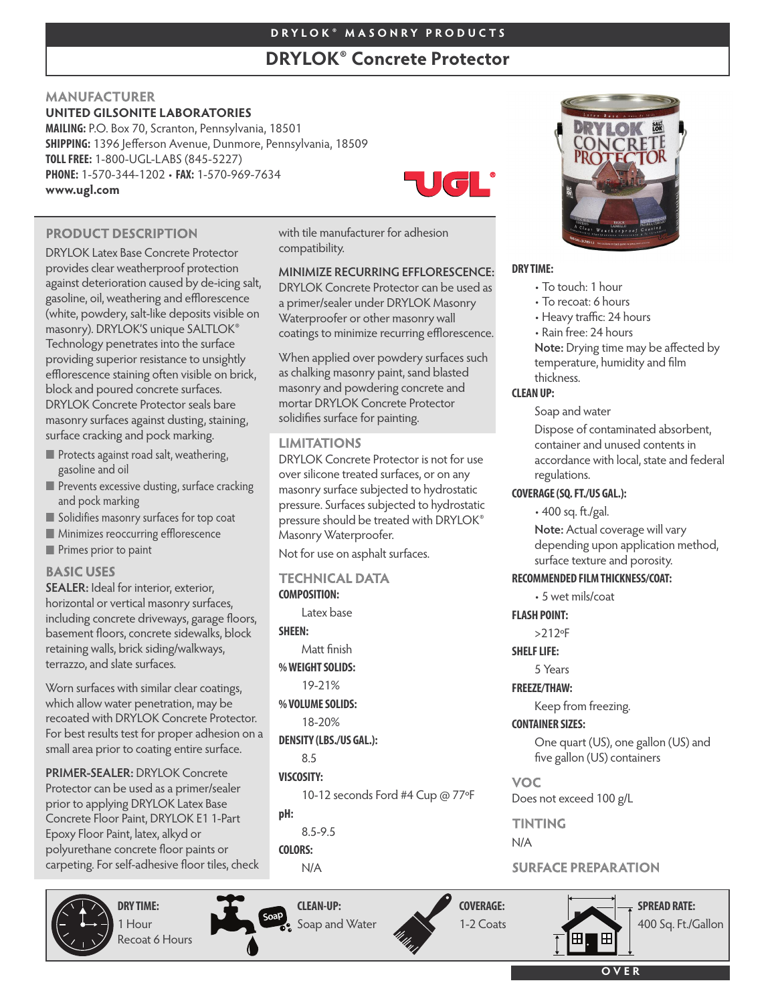# **D R Y L O K ® M A S O N R Y P R O D U C T S**

# **DRYLOK® Concrete Protector**

with tile manufacturer for adhesion

**MINIMIZE RECURRING EFFLORESCENCE:** DRYLOK Concrete Protector can be used as a primer/sealer under DRYLOK Masonry Waterproofer or other masonry wall coatings to minimize recurring efflorescence.

When applied over powdery surfaces such as chalking masonry paint, sand blasted masonry and powdering concrete and mortar DRYLOK Concrete Protector solidifies surface for painting.

DRYLOK Concrete Protector is not for use over silicone treated surfaces, or on any masonry surface subjected to hydrostatic pressure. Surfaces subjected to hydrostatic pressure should be treated with DRYLOK®

Masonry Waterproofer. Not for use on asphalt surfaces.

**TECHNICAL DATA** 

**LIMITATIONS** 

**COMPOSITION:**

8.5 **VISCOSITY:**

8.5-9.5

**pH:**

**COLORS:** N/A

**SHEEN:**

Latex base

Matt finish **%WEIGHTSOLIDS:** 19-21% **%VOLUMESOLIDS:** 18-20% **DENSITY (LBS./US GAL.):**

compatibility.

# **MANUFACTURER UNITED GILSONITE LABORATORIES**

**MAILING:** P.O. Box 70, Scranton, Pennsylvania, 18501 **SHIPPING:** 1396 Jefferson Avenue, Dunmore, Pennsylvania, 18509 **TOLLFREE:** 1-800-UGL-LABS (845-5227) **PHONE:** 1-570-344-1202 • **FAX:** 1-570-969-7634 **www.ugl.com**



# **PRODUCT DESCRIPTION**

DRYLOK Latex Base Concrete Protector provides clear weatherproof protection against deterioration caused by de-icing salt, gasoline, oil, weathering and efflorescence (white, powdery, salt-like deposits visible on masonry). DRYLOK'S unique SALTLOK® Technology penetrates into the surface providing superior resistance to unsightly efflorescence staining often visible on brick, block and poured concrete surfaces. DRYLOK Concrete Protector seals bare masonry surfaces against dusting, staining, surface cracking and pock marking.

- **Protects against road salt, weathering,** gasoline and oil
- **Prevents excessive dusting, surface cracking** and pock marking
- Solidifies masonry surfaces for top coat
- **Minimizes reoccurring efflorescence**
- **Primes prior to paint**

### **BASIC USES**

**SEALER:** Ideal for interior, exterior, horizontal or vertical masonry surfaces, including concrete driveways, garage floors, basement floors, concrete sidewalks, block retaining walls, brick siding/walkways, terrazzo, and slate surfaces.

Worn surfaces with similar clear coatings, which allow water penetration, may be recoated with DRYLOK Concrete Protector. For best results test for proper adhesion on a small area prior to coating entire surface.

**PRIMER-SEALER:** DRYLOK Concrete Protector can be used as a primer/sealer prior to applying DRYLOK Latex Base Concrete Floor Paint, DRYLOK E1 1-Part Epoxy Floor Paint, latex, alkyd or polyurethane concrete floor paints or carpeting. For self-adhesive floor tiles, check



**DRY TIME:** 1 Hour Recoat 6 Hours



**CLEAN-UP:** Soap and Water



10-12 seconds Ford #4 Cup @ 77ºF



### **DRY TIME:**

- To touch: 1 hour
- To recoat: 6 hours
- Heavy traffic: 24 hours
- Rain free: 24 hours

**Note:** Drying time may be affected by temperature, humidity and film thickness.

### **CLEAN UP:**

Soap and water

Dispose of contaminated absorbent, container and unused contents in accordance with local, state and federal regulations.

#### **COVERAGE(SQ.FT./US GAL.):**

• 400 sq. ft./gal.

**Note:** Actual coverage will vary depending upon application method, surface texture and porosity.

### **RECOMMENDED FILMTHICKNESS/COAT:**

• 5 wet mils/coat

### **FLASH POINT:**

>212ºF

**SHELF LIFE:** 

5 Years

**FREEZE/THAW:**

Keep from freezing.

### **CONTAINER SIZES:**

One quart (US), one gallon (US) and five gallon (US) containers

**VOC** Does not exceed 100 g/L

**TINTING** 

N/A

# **SURFACE PREPARATION**







Æ